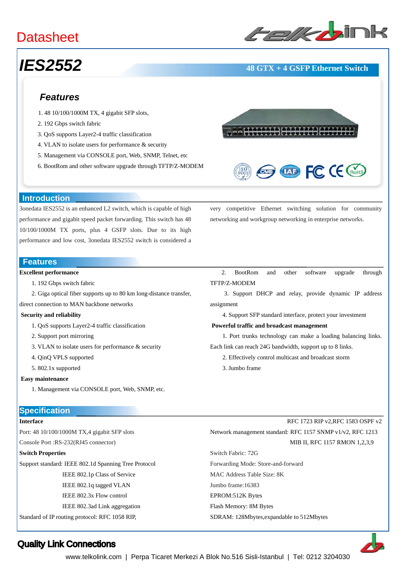### **Datasheet**

# ﹥﹥**Layer-2 Ethernet Switches**

### *IES2552* **48 GTX + 4 GSFP Ethernet Switch**

#### *Features*

- 1. 48 10/100/1000M TX, 4 gigabit SFP slots,
- 2. 192 Gbps switch fabric
- 3. QoS supports Layer2-4 traffic classification
- 4. VLAN to isolate users for performance & security
- 5. Management via CONSOLE port, Web, SNMP, Telnet, etc
- 6. BootRom and other software upgrade through TFTP/Z-MODEM





very competitive Ethernet switching solution for community

networking and workgroup networking in enterprise networks.

#### **Introduction**

3onedata IES2552 is an enhanced L2 switch, which is capable of high performance and gigabit speed packet forwarding. This switch has 48 10/100/1000M TX ports, plus 4 GSFP slots. Due to its high performance and low cost, 3onedata IES2552 switch is considered a

#### **Features**

#### **Excellent performance**

- 1. 192 Gbps switch fabric
- 2. Giga optical fiber supports up to 80 km long-distance transfer,
- direct connection to MAN backbone networks

#### **Security and reliability**

- 1. QoS supports Layer2-4 traffic classification
- 2. Support port mirroring
- 3. VLAN to isolate users for performance & security
- 4. QinQ VPLS supported
- 5. 802.1x supported

#### **Easy maintenance**

- 1. Management via CONSOLE port, Web, SNMP, etc.
- 

#### **Specification**

#### **Interface**

Port: 48 10/100/1000M TX,4 gigabit SFP slots

Console Port :RS-232(RJ45 connector)

#### **Switch Properties**

Support standard: IEEE 802.1d Spanning Tree Protocol IEEE 802.1p Class of Service IEEE 802.1q tagged VLAN IEEE 802.3x Flow control IEEE 802.3ad Link aggregation

Standard of IP routing protocol: RFC 1058 RIP,

2. BootRom and other software upgrade through TFTP/Z-MODEM

 3. Support DHCP and relay, provide dynamic IP address assignment

4. Support SFP standard interface, protect your investment

#### **Powerful traffic and broadcast management**

 1. Port trunks technology can make a loading balancing links. Each link can reach 24G bandwidth, support up to 8 links.

- 2. Effectively control multicast and broadcast storm
- 3. Jumbo frame

#### RFC 1723 RIP v2,RFC 1583 OSPF v2 Network management standard: RFC 1157 SNMP v1/v2, RFC 1213 MIB II, RFC 1157 RMON 1,2,3,9

Switch Fabric: 72G Forwarding Mode: Store-and-forward MAC Address Table Size: 8K Jumbo frame:16383 EPROM:512K Bytes Flash Memory: 8M Bytes SDRAM: 128Mbytes,expandable to 512Mbytes



### Quality Link Connections